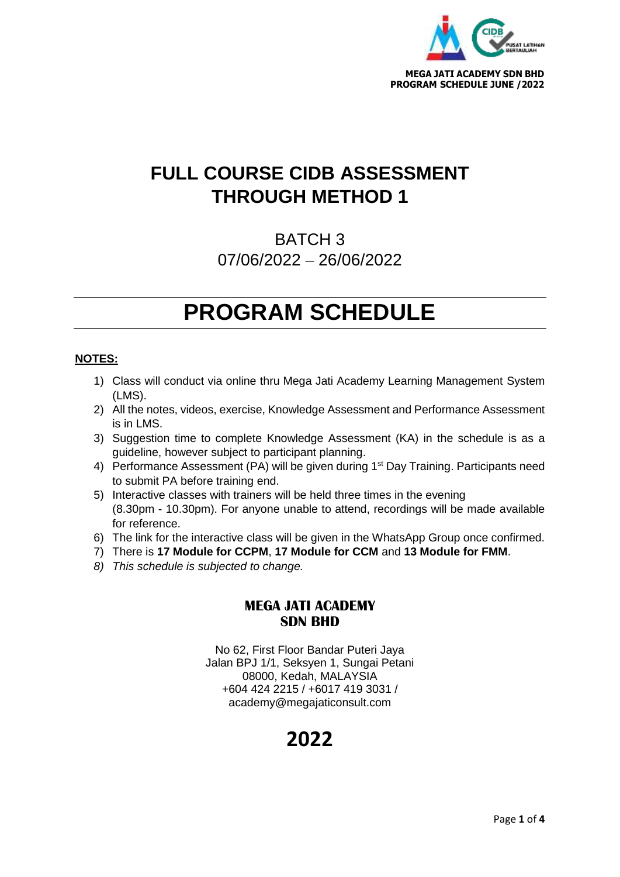

## **FULL COURSE CIDB ASSESSMENT THROUGH METHOD 1**

BATCH 3 07/06/2022 – 26/06/2022

# **PROGRAM SCHEDULE**

### **NOTES:**

- 1) Class will conduct via online thru Mega Jati Academy Learning Management System (LMS).
- 2) All the notes, videos, exercise, Knowledge Assessment and Performance Assessment is in LMS.
- 3) Suggestion time to complete Knowledge Assessment (KA) in the schedule is as a guideline, however subject to participant planning.
- 4) Performance Assessment (PA) will be given during 1<sup>st</sup> Day Training. Participants need to submit PA before training end.
- 5) Interactive classes with trainers will be held three times in the evening (8.30pm - 10.30pm). For anyone unable to attend, recordings will be made available for reference.
- 6) The link for the interactive class will be given in the WhatsApp Group once confirmed.
- 7) There is **17 Module for CCPM**, **17 Module for CCM** and **13 Module for FMM**.
- *8) This schedule is subjected to change.*

### **MEGA JATI ACADEMY SDN BHD**

No 62, First Floor Bandar Puteri Jaya Jalan BPJ 1/1, Seksyen 1, Sungai Petani 08000, Kedah, MALAYSIA +604 424 2215 / +6017 419 3031 / academy@megajaticonsult.com

### **2022**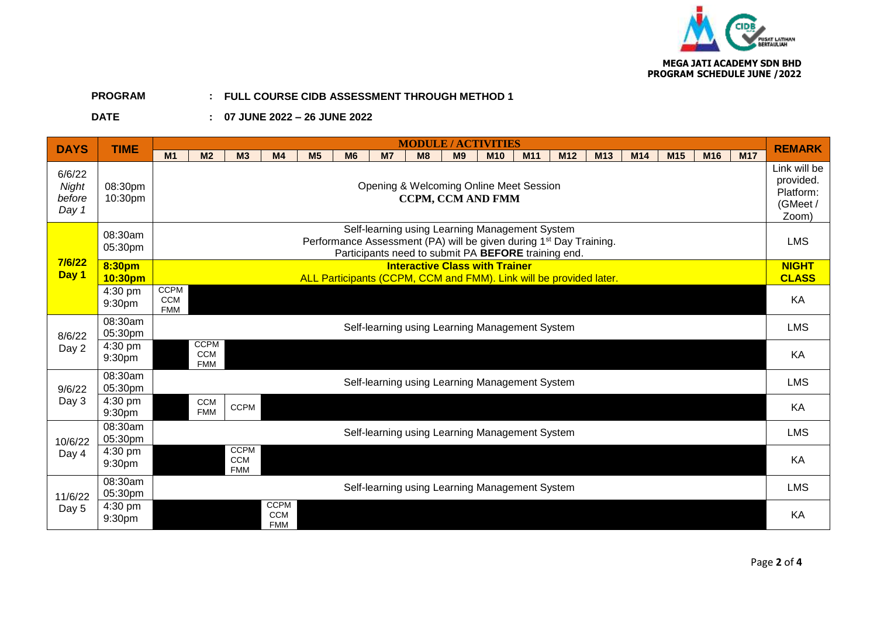

#### **PROGRAM : FULL COURSE CIDB ASSESSMENT THROUGH METHOD 1**

### **DATE : 07 JUNE 2022 – 26 JUNE 2022**

| <b>DAYS</b>                        | <b>TIME</b>        | <b>MODULE / ACTIVITIES</b>                                                                                                                                                                                                                                                      |                                                            |  |  |  |  |  |  |  |  |  |  |  |  |
|------------------------------------|--------------------|---------------------------------------------------------------------------------------------------------------------------------------------------------------------------------------------------------------------------------------------------------------------------------|------------------------------------------------------------|--|--|--|--|--|--|--|--|--|--|--|--|
|                                    |                    | <b>M17</b><br>M <sub>1</sub><br>M <sub>2</sub><br>M <sub>7</sub><br>M <sub>15</sub><br>M <sub>3</sub><br>M <sub>4</sub><br>M <sub>5</sub><br><b>M6</b><br>M8<br>M <sub>9</sub><br>M <sub>12</sub><br>M <sub>13</sub><br>M14<br>M <sub>16</sub><br><b>M10</b><br>M <sub>11</sub> | <b>REMARK</b>                                              |  |  |  |  |  |  |  |  |  |  |  |  |
| 6/6/22<br>Night<br>before<br>Day 1 | 08:30pm<br>10:30pm | Opening & Welcoming Online Meet Session<br><b>CCPM, CCM AND FMM</b>                                                                                                                                                                                                             | Link will be<br>provided.<br>Platform:<br>(GMeet/<br>Zoom) |  |  |  |  |  |  |  |  |  |  |  |  |
|                                    | 08:30am<br>05:30pm | Self-learning using Learning Management System<br>Performance Assessment (PA) will be given during 1 <sup>st</sup> Day Training.<br>Participants need to submit PA BEFORE training end.                                                                                         | <b>LMS</b>                                                 |  |  |  |  |  |  |  |  |  |  |  |  |
| 7/6/22<br>Day 1                    | 8:30pm<br>10:30pm  | <b>Interactive Class with Trainer</b><br>ALL Participants (CCPM, CCM and FMM). Link will be provided later.                                                                                                                                                                     | <b>NIGHT</b><br><b>CLASS</b>                               |  |  |  |  |  |  |  |  |  |  |  |  |
|                                    | 4:30 pm<br>9:30pm  | <b>CCPM</b><br><b>CCM</b><br><b>FMM</b>                                                                                                                                                                                                                                         | KA                                                         |  |  |  |  |  |  |  |  |  |  |  |  |
| 8/6/22                             | 08:30am<br>05:30pm | Self-learning using Learning Management System                                                                                                                                                                                                                                  | <b>LMS</b>                                                 |  |  |  |  |  |  |  |  |  |  |  |  |
| Day 2                              | 4:30 pm<br>9:30pm  | <b>CCPM</b><br>CCM<br><b>FMM</b>                                                                                                                                                                                                                                                | KA                                                         |  |  |  |  |  |  |  |  |  |  |  |  |
| 9/6/22                             | 08:30am<br>05:30pm | Self-learning using Learning Management System                                                                                                                                                                                                                                  | <b>LMS</b>                                                 |  |  |  |  |  |  |  |  |  |  |  |  |
| Day 3                              | 4:30 pm<br>9:30pm  | <b>CCM</b><br><b>CCPM</b><br><b>FMM</b>                                                                                                                                                                                                                                         | KA                                                         |  |  |  |  |  |  |  |  |  |  |  |  |
| 10/6/22<br>Day 4                   | 08:30am<br>05:30pm | Self-learning using Learning Management System                                                                                                                                                                                                                                  | <b>LMS</b>                                                 |  |  |  |  |  |  |  |  |  |  |  |  |
|                                    | 4:30 pm<br>9:30pm  | <b>CCPM</b><br><b>CCM</b><br><b>FMM</b>                                                                                                                                                                                                                                         | KA                                                         |  |  |  |  |  |  |  |  |  |  |  |  |
| 11/6/22<br>Day 5                   | 08:30am<br>05:30pm | Self-learning using Learning Management System                                                                                                                                                                                                                                  | <b>LMS</b>                                                 |  |  |  |  |  |  |  |  |  |  |  |  |
|                                    | 4:30 pm<br>9:30pm  | <b>CCPM</b><br><b>CCM</b><br><b>FMM</b>                                                                                                                                                                                                                                         | KA                                                         |  |  |  |  |  |  |  |  |  |  |  |  |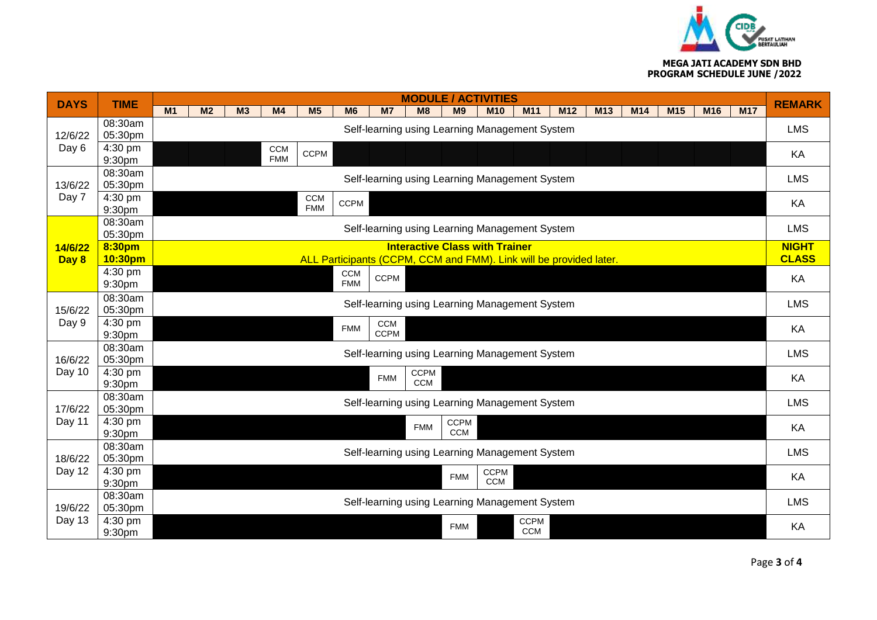

#### **MEGA JATI ACADEMY SDN BHD PROGRAM SCHEDULE JUNE /2022**

| <b>DAYS</b>       | <b>TIME</b>        | <b>MODULE / ACTIVITIES</b>                                         |                |                |                          |                |                |             |    |                |                                                |                 |                 |              |              | <b>REMARK</b> |     |            |            |
|-------------------|--------------------|--------------------------------------------------------------------|----------------|----------------|--------------------------|----------------|----------------|-------------|----|----------------|------------------------------------------------|-----------------|-----------------|--------------|--------------|---------------|-----|------------|------------|
|                   |                    | M <sub>1</sub>                                                     | M <sub>2</sub> | M <sub>3</sub> | M4                       | M <sub>5</sub> | M <sub>6</sub> | M7          | M8 | M <sub>9</sub> | <b>M10</b>                                     | M <sub>11</sub> | M <sub>12</sub> | M13          | M14          | M15           | M16 | <b>M17</b> |            |
|                   | 08:30am            |                                                                    |                |                |                          |                |                |             |    |                | Self-learning using Learning Management System |                 |                 |              |              |               |     |            | <b>LMS</b> |
| 12/6/22           | 05:30pm            |                                                                    |                |                |                          |                |                |             |    |                |                                                |                 |                 |              |              |               |     |            |            |
| Day 6             | 4:30 pm<br>9:30pm  |                                                                    |                |                | <b>CCM</b><br><b>FMM</b> | <b>CCPM</b>    |                |             |    |                |                                                |                 |                 |              |              |               |     |            | KA         |
|                   | 08:30am            |                                                                    |                |                |                          |                |                |             |    |                |                                                |                 |                 |              |              |               |     |            |            |
| 13/6/22           | 05:30pm            | Self-learning using Learning Management System                     |                |                |                          |                |                |             |    |                |                                                |                 |                 |              |              | <b>LMS</b>    |     |            |            |
| Day 7             | 4:30 pm            | <b>CCM</b><br><b>CCPM</b>                                          |                |                |                          |                |                |             |    |                |                                                |                 |                 | KA           |              |               |     |            |            |
|                   | 9:30pm             | <b>FMM</b>                                                         |                |                |                          |                |                |             |    |                |                                                |                 |                 |              |              |               |     |            |            |
|                   | 08:30am<br>05:30pm | Self-learning using Learning Management System                     |                |                |                          |                |                |             |    |                |                                                |                 |                 |              | <b>LMS</b>   |               |     |            |            |
| 14/6/22           | 8:30pm             | <b>Interactive Class with Trainer</b>                              |                |                |                          |                |                |             |    |                |                                                |                 |                 |              | <b>NIGHT</b> |               |     |            |            |
| Day 8             | 10:30pm            | ALL Participants (CCPM, CCM and FMM). Link will be provided later. |                |                |                          |                |                |             |    |                |                                                |                 |                 | <b>CLASS</b> |              |               |     |            |            |
|                   | 4:30 pm            |                                                                    |                |                |                          |                | <b>CCM</b>     | <b>CCPM</b> |    |                |                                                |                 |                 |              |              |               |     |            | KA         |
|                   | 9:30pm             | <b>FMM</b>                                                         |                |                |                          |                |                |             |    |                |                                                |                 |                 |              |              |               |     |            |            |
| 15/6/22           | 08:30am<br>05:30pm | Self-learning using Learning Management System                     |                |                |                          |                |                |             |    |                |                                                |                 |                 | <b>LMS</b>   |              |               |     |            |            |
| Day 9             | 4:30 pm            | CCM                                                                |                |                |                          |                |                |             |    |                |                                                |                 |                 |              |              |               |     |            |            |
|                   | 9:30pm             |                                                                    |                |                |                          |                | <b>FMM</b>     | <b>CCPM</b> |    |                |                                                |                 |                 |              |              |               |     |            | KA         |
|                   | 08:30am            | Self-learning using Learning Management System                     |                |                |                          |                |                |             |    |                |                                                |                 |                 |              | <b>LMS</b>   |               |     |            |            |
| 16/6/22           | 05:30pm            |                                                                    |                |                |                          |                |                |             |    |                |                                                |                 |                 |              |              |               |     |            |            |
| Day 10            | 4:30 pm<br>9:30pm  | <b>CCPM</b><br><b>FMM</b><br><b>CCM</b>                            |                |                |                          |                |                |             |    |                |                                                |                 | KA              |              |              |               |     |            |            |
|                   | 08:30am            |                                                                    |                |                |                          |                |                |             |    |                |                                                |                 |                 |              |              |               |     |            |            |
| 17/6/22<br>Day 11 | 05:30pm            | Self-learning using Learning Management System                     |                |                |                          |                |                |             |    |                |                                                |                 |                 | <b>LMS</b>   |              |               |     |            |            |
|                   | 4:30 pm            | <b>CCPM</b><br><b>FMM</b>                                          |                |                |                          |                |                |             |    |                |                                                |                 |                 | KA           |              |               |     |            |            |
|                   | 9:30pm             | <b>CCM</b>                                                         |                |                |                          |                |                |             |    |                |                                                |                 |                 |              |              |               |     |            |            |
| 18/6/22<br>Day 12 | 08:30am<br>05:30pm | Self-learning using Learning Management System                     |                |                |                          |                |                |             |    |                |                                                |                 |                 |              | <b>LMS</b>   |               |     |            |            |
|                   | 4:30 pm            | <b>CCPM</b>                                                        |                |                |                          |                |                |             |    |                |                                                |                 |                 |              |              |               |     |            |            |
|                   | 9:30pm             | <b>FMM</b><br>CCM                                                  |                |                |                          |                |                |             |    |                |                                                |                 |                 | KA           |              |               |     |            |            |
| 19/6/22<br>Day 13 | 08:30am            | Self-learning using Learning Management System                     |                |                |                          |                |                |             |    |                |                                                |                 |                 |              | <b>LMS</b>   |               |     |            |            |
|                   | 05:30pm            |                                                                    |                |                |                          |                |                |             |    |                |                                                |                 |                 |              |              |               |     |            |            |
|                   | 4:30 pm            |                                                                    |                |                |                          |                |                |             |    |                |                                                | <b>CCPM</b>     |                 |              |              |               |     |            |            |